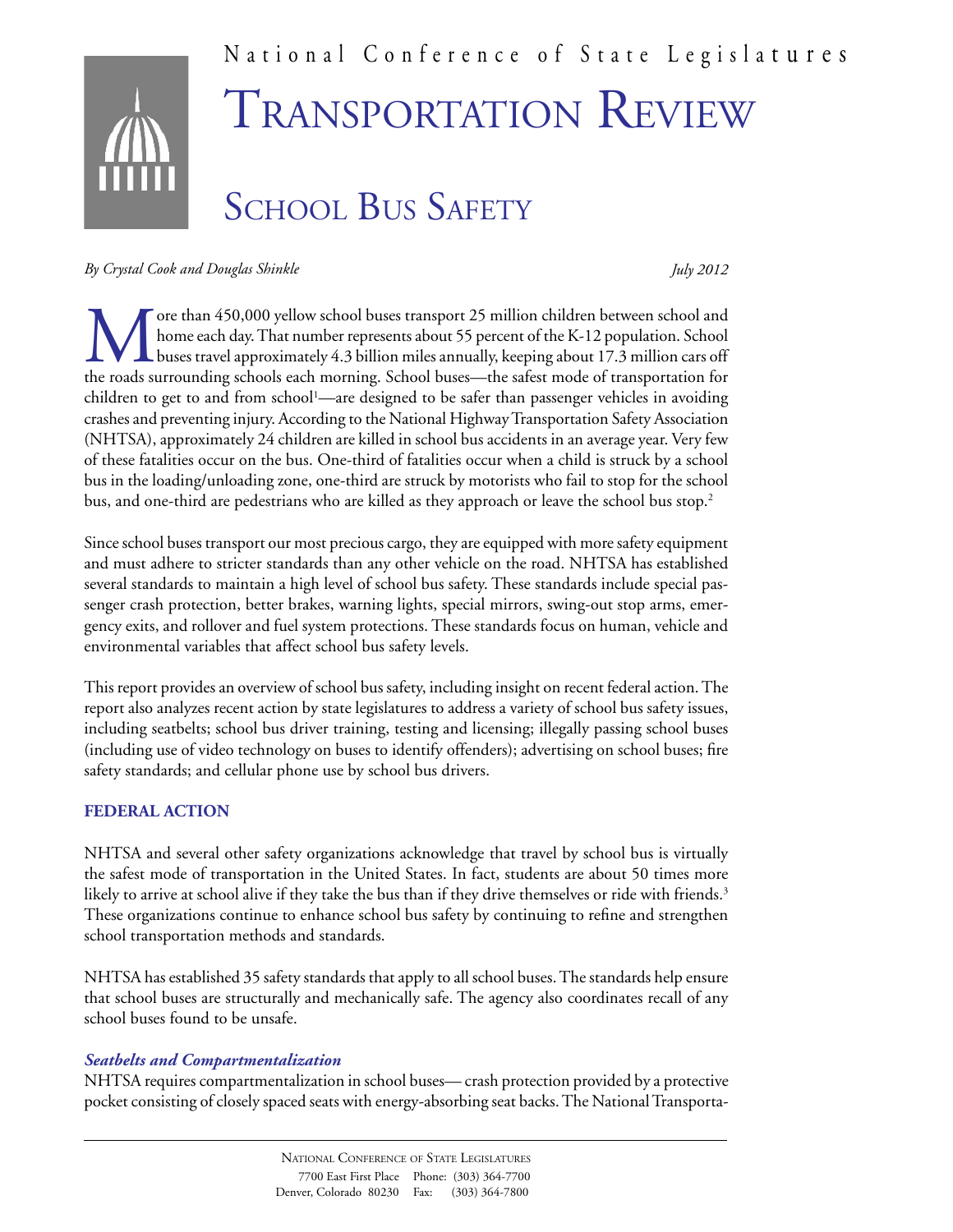# National Conference of State Legisla tures SCHOOL BUS SAFETY Transportation Review

*By Crystal Cook and Douglas Shinkle*

*July 2012*

The than 450,000 yellow school buses transport 25 million children between school and<br>home each day. That number represents about 55 percent of the K-12 population. School<br>the roads surrounding schools each morning. School home each day. That number represents about 55 percent of the K-12 population. School buses travel approximately 4.3 billion miles annually, keeping about 17.3 million cars off the roads surrounding schools each morning. School buses—the safest mode of transportation for children to get to and from school<sup>1</sup>—are designed to be safer than passenger vehicles in avoiding crashes and preventing injury. According to the National Highway Transportation Safety Association (NHTSA), approximately 24 children are killed in school bus accidents in an average year. Very few of these fatalities occur on the bus. One-third of fatalities occur when a child is struck by a school bus in the loading/unloading zone, one-third are struck by motorists who fail to stop for the school bus, and one-third are pedestrians who are killed as they approach or leave the school bus stop.<sup>2</sup>

Since school buses transport our most precious cargo, they are equipped with more safety equipment and must adhere to stricter standards than any other vehicle on the road. NHTSA has established several standards to maintain a high level of school bus safety. These standards include special passenger crash protection, better brakes, warning lights, special mirrors, swing-out stop arms, emergency exits, and rollover and fuel system protections. These standards focus on human, vehicle and environmental variables that affect school bus safety levels.

This report provides an overview of school bus safety, including insight on recent federal action. The report also analyzes recent action by state legislatures to address a variety of school bus safety issues, including seatbelts; school bus driver training, testing and licensing; illegally passing school buses (including use of video technology on buses to identify offenders); advertising on school buses; fire safety standards; and cellular phone use by school bus drivers.

## **FEDERAL ACTION**

NHTSA and several other safety organizations acknowledge that travel by school bus is virtually the safest mode of transportation in the United States. In fact, students are about 50 times more likely to arrive at school alive if they take the bus than if they drive themselves or ride with friends.<sup>3</sup> These organizations continue to enhance school bus safety by continuing to refine and strengthen school transportation methods and standards.

NHTSA has established 35 safety standards that apply to all school buses. The standards help ensure that school buses are structurally and mechanically safe. The agency also coordinates recall of any school buses found to be unsafe.

#### *Seatbelts and Compartmentalization*

NHTSA requires compartmentalization in school buses— crash protection provided by a protective pocket consisting of closely spaced seats with energy-absorbing seat backs. The National Transporta-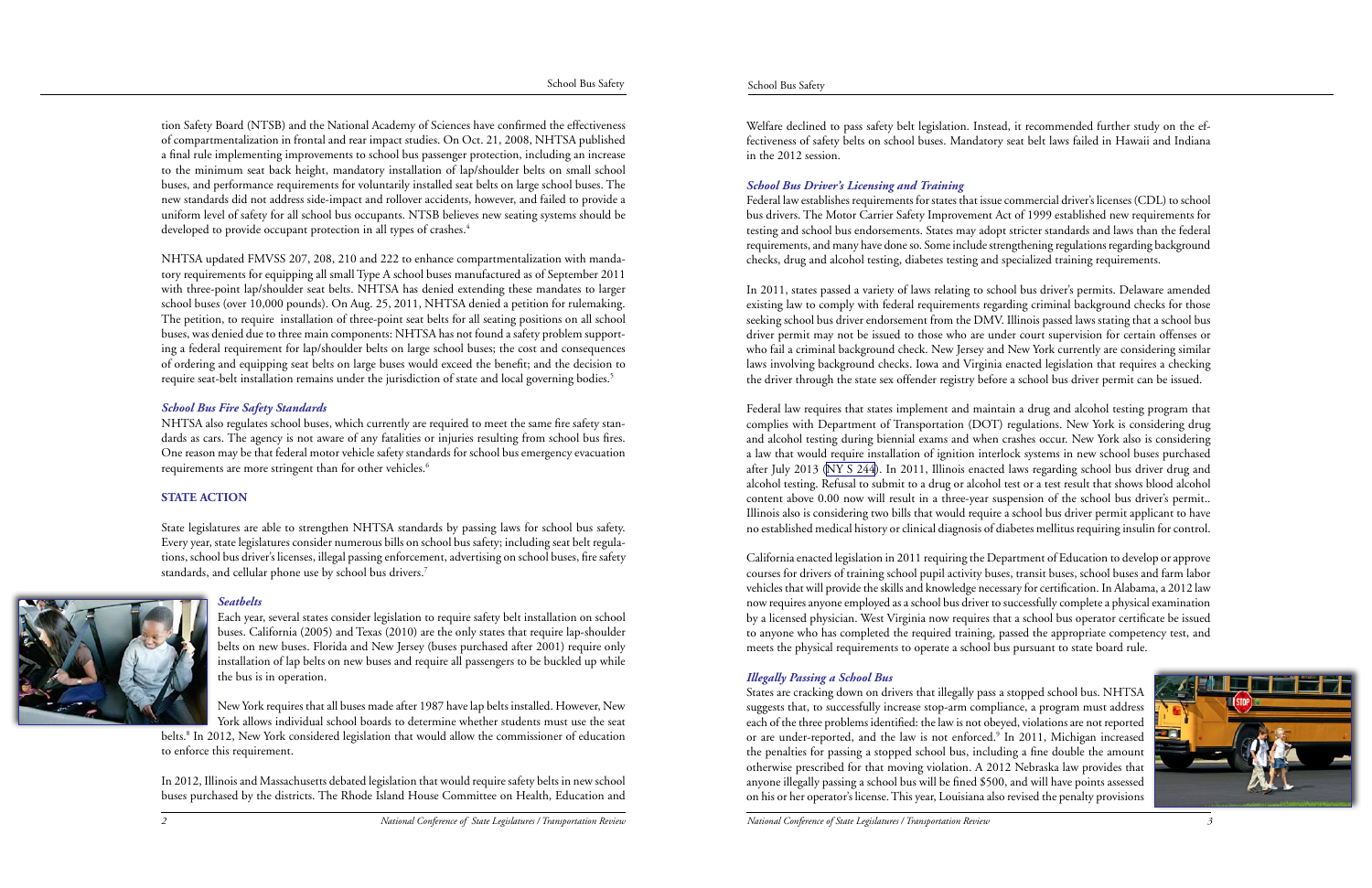

tion Safety Board (NTSB) and the National Academy of Sciences have confirmed the effectiveness of compartmentalization in frontal and rear impact studies. On Oct. 21, 2008, NHTSA published a final rule implementing improvements to school bus passenger protection, including an increase to the minimum seat back height, mandatory installation of lap/shoulder belts on small school buses, and performance requirements for voluntarily installed seat belts on large school buses. The new standards did not address side-impact and rollover accidents, however, and failed to provide a uniform level of safety for all school bus occupants. NTSB believes new seating systems should be developed to provide occupant protection in all types of crashes.<sup>4</sup>

NHTSA updated FMVSS 207, 208, 210 and 222 to enhance compartmentalization with mandatory requirements for equipping all small Type A school buses manufactured as of September 2011 with three-point lap/shoulder seat belts. NHTSA has denied extending these mandates to larger school buses (over 10,000 pounds). On Aug. 25, 2011, NHTSA denied a petition for rulemaking. The petition, to require installation of three-point seat belts for all seating positions on all school buses, was denied due to three main components: NHTSA has not found a safety problem supporting a federal requirement for lap/shoulder belts on large school buses; the cost and consequences of ordering and equipping seat belts on large buses would exceed the benefit; and the decision to require seat-belt installation remains under the jurisdiction of state and local governing bodies.<sup>5</sup>

NHTSA also regulates school buses, which currently are required to meet the same fire safety standards as cars. The agency is not aware of any fatalities or injuries resulting from school bus fires. One reason may be that federal motor vehicle safety standards for school bus emergency evacuation requirements are more stringent than for other vehicles.<sup>6</sup>

belts.<sup>8</sup> In 2012, New York considered legislation that would allow the commissioner of education to enforce this requirement.

## *School Bus Fire Safety Standards*

## **STATE ACTION**

State legislatures are able to strengthen NHTSA standards by passing laws for school bus safety. Every year, state legislatures consider numerous bills on school bus safety; including seat belt regulations, school bus driver's licenses, illegal passing enforcement, advertising on school buses, fire safety standards, and cellular phone use by school bus drivers.7



## *Seatbelts*

Each year, several states consider legislation to require safety belt installation on school buses. California (2005) and Texas (2010) are the only states that require lap-shoulder belts on new buses. Florida and New Jersey (buses purchased after 2001) require only installation of lap belts on new buses and require all passengers to be buckled up while the bus is in operation.

New York requires that all buses made after 1987 have lap belts installed. However, New York allows individual school boards to determine whether students must use the seat

In 2012, Illinois and Massachusetts debated legislation that would require safety belts in new school buses purchased by the districts. The Rhode Island House Committee on Health, Education and

Welfare declined to pass safety belt legislation. Instead, it recommended further study on the effectiveness of safety belts on school buses. Mandatory seat belt laws failed in Hawaii and Indiana in the 2012 session.

## *School Bus Driver's Licensing and Training*

Federal law establishes requirements for states that issue commercial driver's licenses (CDL) to school bus drivers. The Motor Carrier Safety Improvement Act of 1999 established new requirements for testing and school bus endorsements. States may adopt stricter standards and laws than the federal requirements, and many have done so. Some include strengthening regulations regarding background checks, drug and alcohol testing, diabetes testing and specialized training requirements.

In 2011, states passed a variety of laws relating to school bus driver's permits. Delaware amended existing law to comply with federal requirements regarding criminal background checks for those seeking school bus driver endorsement from the DMV. Illinois passed laws stating that a school bus driver permit may not be issued to those who are under court supervision for certain offenses or who fail a criminal background check. New Jersey and New York currently are considering similar laws involving background checks. Iowa and Virginia enacted legislation that requires a checking the driver through the state sex offender registry before a school bus driver permit can be issued.

Federal law requires that states implement and maintain a drug and alcohol testing program that complies with Department of Transportation (DOT) regulations. New York is considering drug and alcohol testing during biennial exams and when crashes occur. New York also is considering a law that would require installation of ignition interlock systems in new school buses purchased after July 2013 [\(NY S 244\)](http://client.statenet.com/secure/pe/resources.cgi?runmode=redirect_latest_text&id=ID:bill:NY2011000S244&TB_iframe=true&height=500&width=700&). In 2011, Illinois enacted laws regarding school bus driver drug and alcohol testing. Refusal to submit to a drug or alcohol test or a test result that shows blood alcohol content above 0.00 now will result in a three-year suspension of the school bus driver's permit.. Illinois also is considering two bills that would require a school bus driver permit applicant to have no established medical history or clinical diagnosis of diabetes mellitus requiring insulin for control.

California enacted legislation in 2011 requiring the Department of Education to develop or approve courses for drivers of training school pupil activity buses, transit buses, school buses and farm labor vehicles that will provide the skills and knowledge necessary for certification. In Alabama, a 2012 law now requires anyone employed as a school bus driver to successfully complete a physical examination by a licensed physician. West Virginia now requires that a school bus operator certificate be issued to anyone who has completed the required training, passed the appropriate competency test, and meets the physical requirements to operate a school bus pursuant to state board rule.

# *Illegally Passing a School Bus*

States are cracking down on drivers that illegally pass a stopped school bus. NHTSA suggests that, to successfully increase stop-arm compliance, a program must address each of the three problems identified: the law is not obeyed, violations are not reported or are under-reported, and the law is not enforced.<sup>9</sup> In 2011, Michigan increased the penalties for passing a stopped school bus, including a fine double the amount otherwise prescribed for that moving violation. A 2012 Nebraska law provides that anyone illegally passing a school bus will be fined \$500, and will have points assessed on his or her operator's license. This year, Louisiana also revised the penalty provisions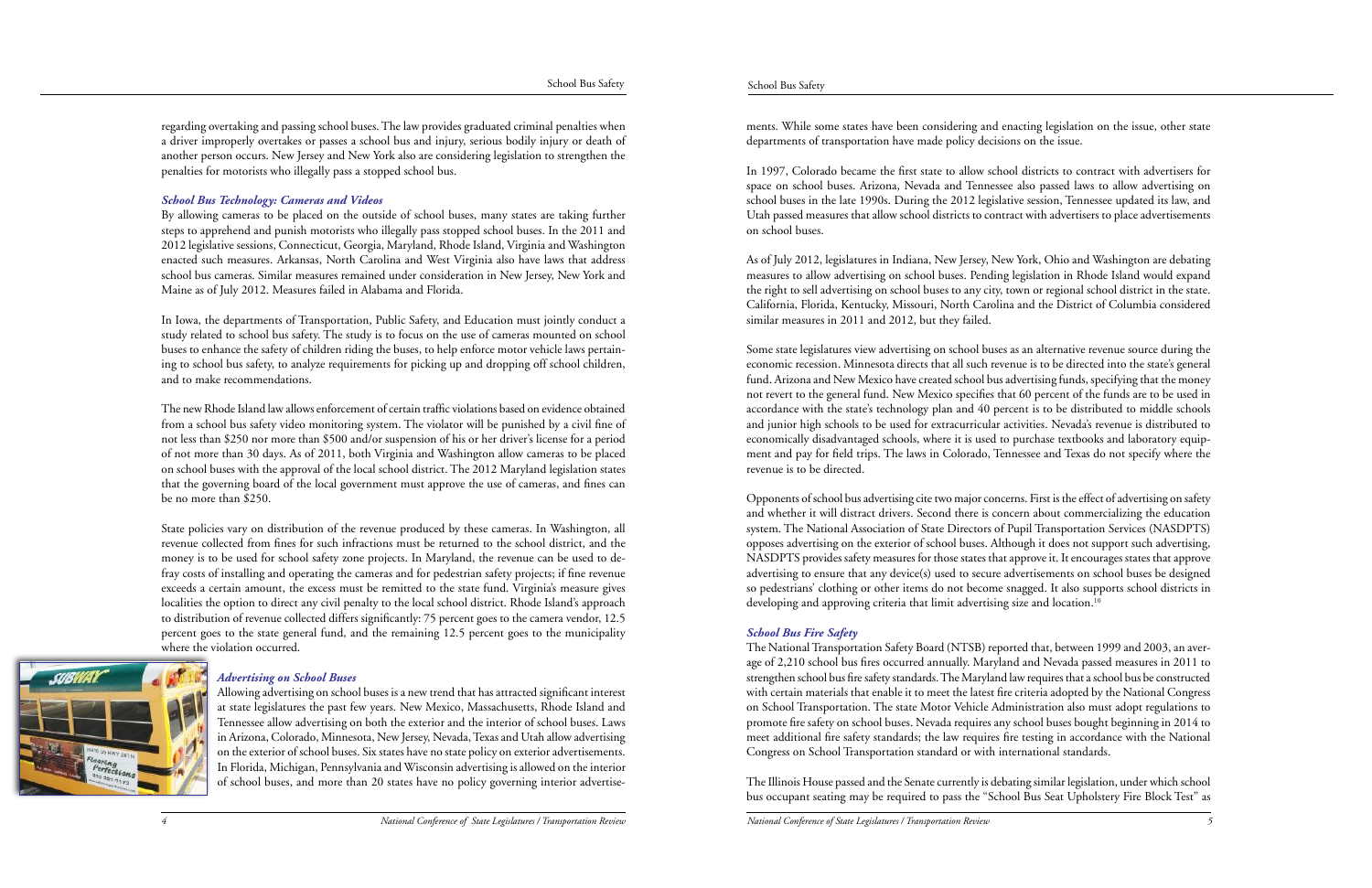regarding overtaking and passing school buses. The law provides graduated criminal penalties when a driver improperly overtakes or passes a school bus and injury, serious bodily injury or death of another person occurs. New Jersey and New York also are considering legislation to strengthen the penalties for motorists who illegally pass a stopped school bus.

## *School Bus Technology: Cameras and Videos*

By allowing cameras to be placed on the outside of school buses, many states are taking further steps to apprehend and punish motorists who illegally pass stopped school buses. In the 2011 and 2012 legislative sessions, Connecticut, Georgia, Maryland, Rhode Island, Virginia and Washington enacted such measures. Arkansas, North Carolina and West Virginia also have laws that address school bus cameras. Similar measures remained under consideration in New Jersey, New York and Maine as of July 2012. Measures failed in Alabama and Florida.

In Iowa, the departments of Transportation, Public Safety, and Education must jointly conduct a study related to school bus safety. The study is to focus on the use of cameras mounted on school buses to enhance the safety of children riding the buses, to help enforce motor vehicle laws pertaining to school bus safety, to analyze requirements for picking up and dropping off school children, and to make recommendations.

The new Rhode Island law allows enforcement of certain traffic violations based on evidence obtained from a school bus safety video monitoring system. The violator will be punished by a civil fine of not less than \$250 nor more than \$500 and/or suspension of his or her driver's license for a period of not more than 30 days. As of 2011, both Virginia and Washington allow cameras to be placed on school buses with the approval of the local school district. The 2012 Maryland legislation states that the governing board of the local government must approve the use of cameras, and fines can be no more than \$250.

State policies vary on distribution of the revenue produced by these cameras. In Washington, all revenue collected from fines for such infractions must be returned to the school district, and the money is to be used for school safety zone projects. In Maryland, the revenue can be used to defray costs of installing and operating the cameras and for pedestrian safety projects; if fine revenue exceeds a certain amount, the excess must be remitted to the state fund. Virginia's measure gives localities the option to direct any civil penalty to the local school district. Rhode Island's approach to distribution of revenue collected differs significantly: 75 percent goes to the camera vendor, 12.5 percent goes to the state general fund, and the remaining 12.5 percent goes to the municipality where the violation occurred.



Opponents of school bus advertising cite two major concerns. First is the effect of advertising on safety and whether it will distract drivers. Second there is concern about commercializing the education system. The National Association of State Directors of Pupil Transportation Services (NASDPTS) opposes advertising on the exterior of school buses. Although it does not support such advertising, NASDPTS provides safety measures for those states that approve it. It encourages states that approve advertising to ensure that any device(s) used to secure advertisements on school buses be designed so pedestrians' clothing or other items do not become snagged. It also supports school districts in developing and approving criteria that limit advertising size and location.<sup>10</sup>

## *Advertising on School Buses*

Allowing advertising on school buses is a new trend that has attracted significant interest at state legislatures the past few years. New Mexico, Massachusetts, Rhode Island and Tennessee allow advertising on both the exterior and the interior of school buses. Laws in Arizona, Colorado, Minnesota, New Jersey, Nevada, Texas and Utah allow advertising on the exterior of school buses. Six states have no state policy on exterior advertisements. In Florida, Michigan, Pennsylvania and Wisconsin advertising is allowed on the interior of school buses, and more than 20 states have no policy governing interior advertisements. While some states have been considering and enacting legislation on the issue, other state departments of transportation have made policy decisions on the issue.

In 1997, Colorado became the first state to allow school districts to contract with advertisers for space on school buses. Arizona, Nevada and Tennessee also passed laws to allow advertising on school buses in the late 1990s. During the 2012 legislative session, Tennessee updated its law, and Utah passed measures that allow school districts to contract with advertisers to place advertisements on school buses.

As of July 2012, legislatures in Indiana, New Jersey, New York, Ohio and Washington are debating measures to allow advertising on school buses. Pending legislation in Rhode Island would expand the right to sell advertising on school buses to any city, town or regional school district in the state. California, Florida, Kentucky, Missouri, North Carolina and the District of Columbia considered similar measures in 2011 and 2012, but they failed.

Some state legislatures view advertising on school buses as an alternative revenue source during the economic recession. Minnesota directs that all such revenue is to be directed into the state's general fund. Arizona and New Mexico have created school bus advertising funds, specifying that the money not revert to the general fund. New Mexico specifies that 60 percent of the funds are to be used in accordance with the state's technology plan and 40 percent is to be distributed to middle schools and junior high schools to be used for extracurricular activities. Nevada's revenue is distributed to economically disadvantaged schools, where it is used to purchase textbooks and laboratory equipment and pay for field trips. The laws in Colorado, Tennessee and Texas do not specify where the revenue is to be directed.

## *School Bus Fire Safety*

The National Transportation Safety Board (NTSB) reported that, between 1999 and 2003, an average of 2,210 school bus fires occurred annually. Maryland and Nevada passed measures in 2011 to strengthen school bus fire safety standards. The Maryland law requires that a school bus be constructed with certain materials that enable it to meet the latest fire criteria adopted by the National Congress on School Transportation. The state Motor Vehicle Administration also must adopt regulations to promote fire safety on school buses. Nevada requires any school buses bought beginning in 2014 to meet additional fire safety standards; the law requires fire testing in accordance with the National Congress on School Transportation standard or with international standards.

The Illinois House passed and the Senate currently is debating similar legislation, under which school bus occupant seating may be required to pass the "School Bus Seat Upholstery Fire Block Test" as